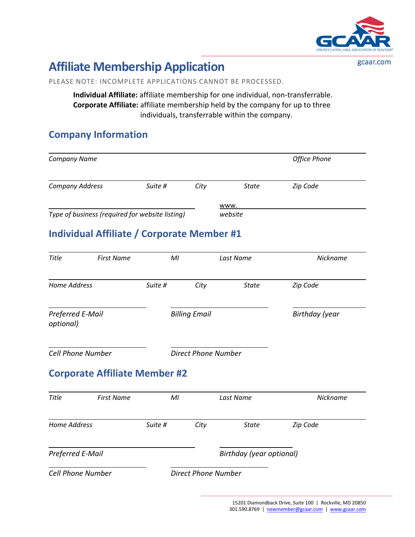

gcaar.com

# **Affiliate Membership Application**

PLEASE NOTE: INCOMPLETE APPLICATIONS CANNOT BE PROCESSED.

**Individual Affiliate:** affiliate membership for one individual, non-transferrable. **Corporate Affiliate:** affiliate membership held by the company for up to three individuals, transferrable within the company.

### **Company Information**

| Company Name                  |                                                   |                |                            |                          | <b>Office Phone</b> |
|-------------------------------|---------------------------------------------------|----------------|----------------------------|--------------------------|---------------------|
| <b>Company Address</b>        |                                                   | Suite #        | City                       | <b>State</b>             | Zip Code            |
|                               |                                                   |                |                            | www.                     |                     |
|                               | Type of business (required for website listing)   |                |                            | website                  |                     |
|                               | <b>Individual Affiliate / Corporate Member #1</b> |                |                            |                          |                     |
| <b>Title</b>                  | <b>First Name</b>                                 | M <sub>l</sub> |                            | Last Name                | Nickname            |
| <b>Home Address</b>           |                                                   | Suite #        | City                       | <b>State</b>             | Zip Code            |
| Preferred E-Mail<br>optional) |                                                   |                | <b>Billing Email</b>       |                          | Birthday (year      |
| <b>Cell Phone Number</b>      |                                                   |                | <b>Direct Phone Number</b> |                          |                     |
|                               | <b>Corporate Affiliate Member #2</b>              |                |                            |                          |                     |
| Title                         | <b>First Name</b>                                 | M <sub>l</sub> |                            | Last Name                | Nickname            |
| <b>Home Address</b>           |                                                   | Suite #        | City                       | <b>State</b>             | Zip Code            |
| Preferred E-Mail              |                                                   |                |                            | Birthday (year optional) |                     |
|                               |                                                   |                |                            |                          |                     |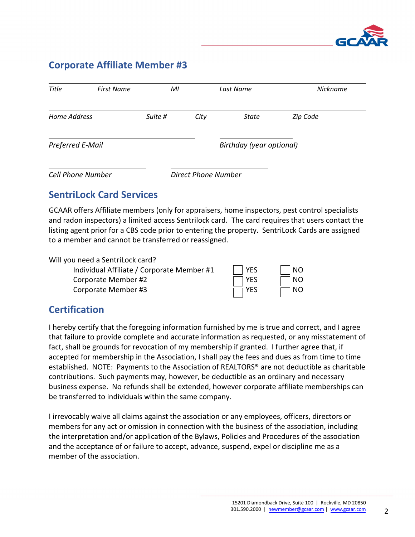

### **Corporate Affiliate Member #3**

| Title                    | <b>First Name</b> | MI      |                            | Last Name                | <b>Nickname</b> |
|--------------------------|-------------------|---------|----------------------------|--------------------------|-----------------|
| Home Address             |                   | Suite # | City                       | State                    | Zip Code        |
| Preferred E-Mail         |                   |         |                            | Birthday (year optional) |                 |
| <b>Cell Phone Number</b> |                   |         | <b>Direct Phone Number</b> |                          |                 |

### **SentriLock Card Services**

GCAAR offers Affiliate members (only for appraisers, home inspectors, pest control specialists and radon inspectors) a limited access Sentrilock card. The card requires that users contact the listing agent prior for a CBS code prior to entering the property. SentriLock Cards are assigned to a member and cannot be transferred or reassigned.

Will you need a SentriLock card?

| Individual Affiliate / Corporate Member #1 | $ $   YES  | $\vert$ $\vert$ NO |
|--------------------------------------------|------------|--------------------|
| Corporate Member #2                        | $\Box$ YES | $\Box$ NO          |
| Corporate Member #3                        | $\Box$ YES | $\Box$ NO          |

### **Certification**

I hereby certify that the foregoing information furnished by me is true and correct, and I agree that failure to provide complete and accurate information as requested, or any misstatement of fact, shall be grounds for revocation of my membership if granted. I further agree that, if accepted for membership in the Association, I shall pay the fees and dues as from time to time established. NOTE: Payments to the Association of REALTORS® are not deductible as charitable contributions. Such payments may, however, be deductible as an ordinary and necessary business expense. No refunds shall be extended, however corporate affiliate memberships can be transferred to individuals within the same company.

I irrevocably waive all claims against the association or any employees, officers, directors or members for any act or omission in connection with the business of the association, including the interpretation and/or application of the Bylaws, Policies and Procedures of the association and the acceptance of or failure to accept, advance, suspend, expel or discipline me as a member of the association.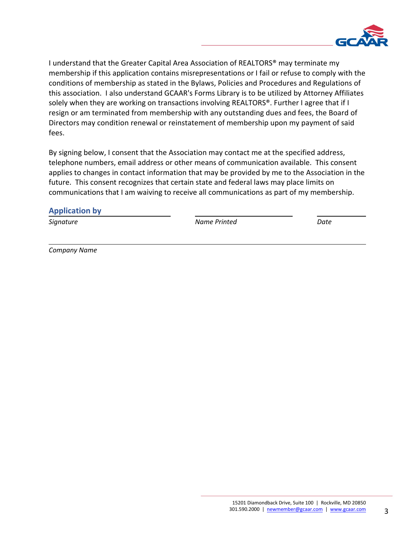

I understand that the Greater Capital Area Association of REALTORS® may terminate my membership if this application contains misrepresentations or I fail or refuse to comply with the conditions of membership as stated in the Bylaws, Policies and Procedures and Regulations of this association. I also understand GCAAR's Forms Library is to be utilized by Attorney Affiliates solely when they are working on transactions involving REALTORS®. Further I agree that if I resign or am terminated from membership with any outstanding dues and fees, the Board of Directors may condition renewal or reinstatement of membership upon my payment of said fees.

By signing below, I consent that the Association may contact me at the specified address, telephone numbers, email address or other means of communication available. This consent applies to changes in contact information that may be provided by me to the Association in the future. This consent recognizes that certain state and federal laws may place limits on communications that I am waiving to receive all communications as part of my membership.

#### **Application by**

*Signature Name Printed Date*

*Company Name*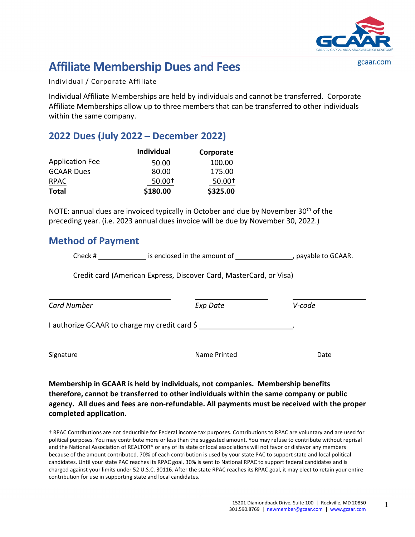

gcaar.com

## **Affiliate Membership Dues and Fees**

Individual / Corporate Affiliate

Individual Affiliate Memberships are held by individuals and cannot be transferred. Corporate Affiliate Memberships allow up to three members that can be transferred to other individuals within the same company.

### **2022 Dues (July 2022 – December 2022)**

|                        | <b>Individual</b> | Corporate |
|------------------------|-------------------|-----------|
| <b>Application Fee</b> | 50.00             | 100.00    |
| <b>GCAAR Dues</b>      | 80.00             | 175.00    |
| <b>RPAC</b>            | 50.00+            | 50.00+    |
| <b>Total</b>           | \$180.00          | \$325.00  |

NOTE: annual dues are invoiced typically in October and due by November 30<sup>th</sup> of the preceding year. (i.e. 2023 annual dues invoice will be due by November 30, 2022.)

### **Method of Payment**

Check # is enclosed in the amount of , payable to GCAAR.

Credit card (American Express, Discover Card, MasterCard, or Visa)

| <b>Card Number</b>                            | Exp Date     | V-code |  |
|-----------------------------------------------|--------------|--------|--|
| I authorize GCAAR to charge my credit card \$ |              |        |  |
| Signature                                     | Name Printed | Date   |  |

**Membership in GCAAR is held by individuals, not companies. Membership benefits therefore, cannot be transferred to other individuals within the same company or public agency. All dues and fees are non-refundable. All payments must be received with the proper completed application.** 

† RPAC Contributions are not deductible for Federal income tax purposes. Contributions to RPAC are voluntary and are used for political purposes. You may contribute more or less than the suggested amount. You may refuse to contribute without reprisal and the National Association of REALTOR® or any of its state or local associations will not favor or disfavor any members because of the amount contributed. 70% of each contribution is used by your state PAC to support state and local political candidates. Until your state PAC reaches its RPAC goal, 30% is sent to National RPAC to support federal candidates and is charged against your limits under 52 U.S.C. 30116. After the state RPAC reaches its RPAC goal, it may elect to retain your entire contribution for use in supporting state and local candidates.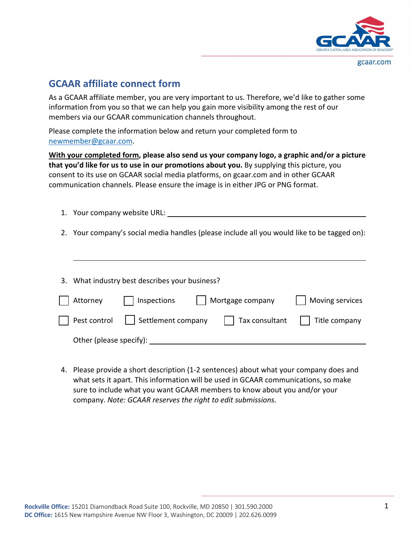

### **GCAAR affiliate connect form**

As a GCAAR affiliate member, you are very important to us. Therefore, we'd like to gather some information from you so that we can help you gain more visibility among the rest of our members via our GCAAR communication channels throughout.

Please complete the information below and return your completed form to newmember@gcaar.com.

**With your completed form, please also send us your company logo, a graphic and/or a picture that you'd like for us to use in our promotions about you.** By supplying this picture, you consent to its use on GCAAR social media platforms, on gcaar.com and in other GCAAR communication channels. Please ensure the image is in either JPG or PNG format.

- 1. Your company website URL:
- 2. Your company's social media handles (please include all you would like to be tagged on):

| 3. What industry best describes your business? |                     |  |                                                                             |                 |
|------------------------------------------------|---------------------|--|-----------------------------------------------------------------------------|-----------------|
| Attorney                                       | $\vert$ Inspections |  | Mortgage company                                                            | Moving services |
| Pest control                                   |                     |  | $\sqrt{\phantom{a}}$ Settlement company $\sqrt{\phantom{a}}$ Tax consultant | Title company   |
| Other (please specify):                        |                     |  |                                                                             |                 |

4. Please provide a short description (1-2 sentences) about what your company does and what sets it apart. This information will be used in GCAAR communications, so make sure to include what you want GCAAR members to know about you and/or your company. *Note: GCAAR reserves the right to edit submissions.*